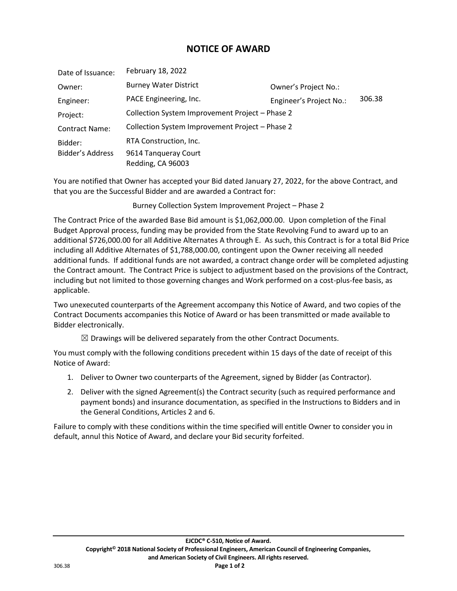## **NOTICE OF AWARD**

| Date of Issuance:     | February 18, 2022                               |                         |        |
|-----------------------|-------------------------------------------------|-------------------------|--------|
| Owner:                | <b>Burney Water District</b>                    | Owner's Project No.:    |        |
| Engineer:             | PACE Engineering, Inc.                          | Engineer's Project No.: | 306.38 |
| Project:              | Collection System Improvement Project - Phase 2 |                         |        |
| <b>Contract Name:</b> | Collection System Improvement Project - Phase 2 |                         |        |
| Bidder:               | RTA Construction, Inc.                          |                         |        |
| Bidder's Address      | 9614 Tangueray Court<br>Redding, CA 96003       |                         |        |

You are notified that Owner has accepted your Bid dated January 27, 2022, for the above Contract, and that you are the Successful Bidder and are awarded a Contract for:

Burney Collection System Improvement Project – Phase 2

The Contract Price of the awarded Base Bid amount is \$1,062,000.00. Upon completion of the Final Budget Approval process, funding may be provided from the State Revolving Fund to award up to an additional \$726,000.00 for all Additive Alternates A through E. As such, this Contract is for a total Bid Price including all Additive Alternates of \$1,788,000.00, contingent upon the Owner receiving all needed additional funds. If additional funds are not awarded, a contract change order will be completed adjusting the Contract amount. The Contract Price is subject to adjustment based on the provisions of the Contract, including but not limited to those governing changes and Work performed on a cost-plus-fee basis, as applicable.

Two unexecuted counterparts of the Agreement accompany this Notice of Award, and two copies of the Contract Documents accompanies this Notice of Award or has been transmitted or made available to Bidder electronically.

 $\boxtimes$  Drawings will be delivered separately from the other Contract Documents.

You must comply with the following conditions precedent within 15 days of the date of receipt of this Notice of Award:

- 1. Deliver to Owner two counterparts of the Agreement, signed by Bidder (as Contractor).
- 2. Deliver with the signed Agreement(s) the Contract security (such as required performance and payment bonds) and insurance documentation, as specified in the Instructions to Bidders and in the General Conditions, Articles 2 and 6.

Failure to comply with these conditions within the time specified will entitle Owner to consider you in default, annul this Notice of Award, and declare your Bid security forfeited.